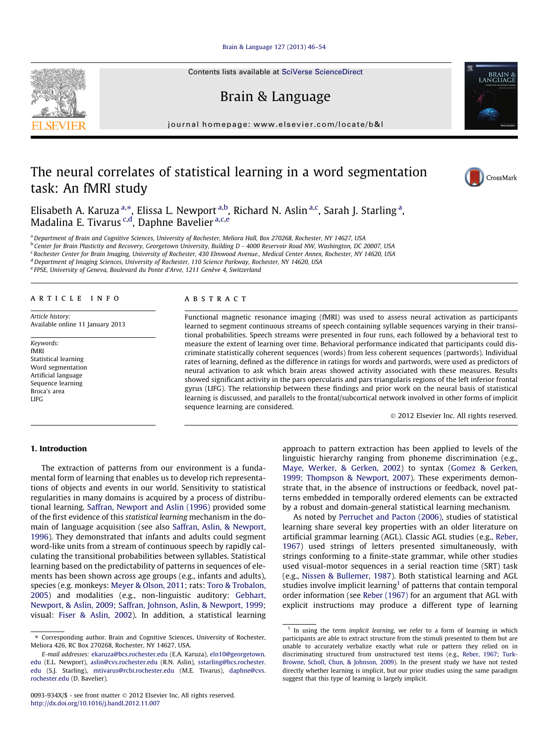[Brain & Language 127 \(2013\) 46–54](http://dx.doi.org/10.1016/j.bandl.2012.11.007)

Contents lists available at [SciVerse ScienceDirect](http://www.sciencedirect.com/science/journal/0093934X)

# Brain & Language

journal homepage: [www.elsevier.com/locate/b&l](http://www.elsevier.com/locate/b&l)

# The neural correlates of statistical learning in a word segmentation task: An fMRI study

Elisabeth A. Karuza <sup>a,</sup>\*, Elissa L. Newport <sup>a,b</sup>, Richard N. Aslin <sup>a,c</sup>, Sarah J. Starling <sup>a</sup>, Madalina E. Tivarus <sup>c,d</sup>, Daphne Bavelier <sup>a,c,e</sup>

a Department of Brain and Cognitive Sciences, University of Rochester, Meliora Hall, Box 270268, Rochester, NY 14627, USA

<sup>b</sup> Center for Brain Plasticity and Recovery, Georgetown University, Building D - 4000 Reservoir Road NW, Washington, DC 20007, USA

<sup>c</sup> Rochester Center for Brain Imaging, University of Rochester, 430 Elmwood Avenue., Medical Center Annex, Rochester, NY 14620, USA

<sup>d</sup> Department of Imaging Sciences, University of Rochester, 110 Science Parkway, Rochester, NY 14620, USA

<sup>e</sup> FPSE, University of Geneva, Boulevard du Ponte d'Arve, 1211 Genève 4, Switzerland

#### article info

Article history: Available online 11 January 2013

Keywords: fMRI Statistical learning Word segmentation Artificial language Sequence learning Broca's area LIFG

### **ABSTRACT**

Functional magnetic resonance imaging (fMRI) was used to assess neural activation as participants learned to segment continuous streams of speech containing syllable sequences varying in their transitional probabilities. Speech streams were presented in four runs, each followed by a behavioral test to measure the extent of learning over time. Behavioral performance indicated that participants could discriminate statistically coherent sequences (words) from less coherent sequences (partwords). Individual rates of learning, defined as the difference in ratings for words and partwords, were used as predictors of neural activation to ask which brain areas showed activity associated with these measures. Results showed significant activity in the pars opercularis and pars triangularis regions of the left inferior frontal gyrus (LIFG). The relationship between these findings and prior work on the neural basis of statistical learning is discussed, and parallels to the frontal/subcortical network involved in other forms of implicit sequence learning are considered.

- 2012 Elsevier Inc. All rights reserved.

# 1. Introduction

The extraction of patterns from our environment is a fundamental form of learning that enables us to develop rich representations of objects and events in our world. Sensitivity to statistical regularities in many domains is acquired by a process of distributional learning. [Saffran, Newport and Aslin \(1996\)](#page-8-0) provided some of the first evidence of this statistical learning mechanism in the domain of language acquisition (see also [Saffran, Aslin, & Newport,](#page-8-0) [1996\)](#page-8-0). They demonstrated that infants and adults could segment word-like units from a stream of continuous speech by rapidly calculating the transitional probabilities between syllables. Statistical learning based on the predictability of patterns in sequences of elements has been shown across age groups (e.g., infants and adults), species (e.g. monkeys: [Meyer & Olson, 2011](#page-7-0); rats: [Toro & Trobalon,](#page-8-0) [2005\)](#page-8-0) and modalities (e.g., non-linguistic auditory: [Gebhart,](#page-7-0) [Newport, & Aslin, 2009; Saffran, Johnson, Aslin, & Newport, 1999;](#page-7-0) visual: [Fiser & Aslin, 2002](#page-7-0)). In addition, a statistical learning approach to pattern extraction has been applied to levels of the linguistic hierarchy ranging from phoneme discrimination (e.g., [Maye, Werker, & Gerken, 2002\)](#page-7-0) to syntax ([Gomez & Gerken,](#page-7-0) [1999; Thompson & Newport, 2007](#page-7-0)). These experiments demonstrate that, in the absence of instructions or feedback, novel patterns embedded in temporally ordered elements can be extracted by a robust and domain-general statistical learning mechanism.

As noted by [Perruchet and Pacton \(2006\),](#page-8-0) studies of statistical learning share several key properties with an older literature on artificial grammar learning (AGL). Classic AGL studies (e.g., [Reber,](#page-8-0) [1967\)](#page-8-0) used strings of letters presented simultaneously, with strings conforming to a finite-state grammar, while other studies used visual-motor sequences in a serial reaction time (SRT) task (e.g., [Nissen & Bullemer, 1987\)](#page-8-0). Both statistical learning and AGL studies involve implicit learning<sup>1</sup> of patterns that contain temporal order information (see [Reber \(1967\)](#page-8-0) for an argument that AGL with explicit instructions may produce a different type of learning







<sup>⇑</sup> Corresponding author. Brain and Cognitive Sciences, University of Rochester, Meliora 426, RC Box 270268, Rochester, NY 14627, USA.

E-mail addresses: [ekaruza@bcs.rochester.edu](mailto:ekaruza@bcs.rochester.edu) (E.A. Karuza), [eln10@georgetown.](mailto:eln10@georgetown.edu) [edu](mailto:eln10@georgetown.edu) (E.L. Newport), [aslin@cvs.rochester.edu](mailto:aslin@cvs.rochester.edu) (R.N. Aslin), [sstarling@bcs.rochester.](mailto:sstarling@bcs.rochester.edu) [edu](mailto:sstarling@bcs.rochester.edu) (S.J. Starling), [mtivarus@rcbi.rochester.edu](mailto:mtivarus@rcbi.rochester.edu) (M.E. Tivarus), [daphne@cvs.](mailto:daphne@cvs.rochester.edu) [rochester.edu](mailto:daphne@cvs.rochester.edu) (D. Bavelier).

<sup>0093-934</sup>X/\$ - see front matter © 2012 Elsevier Inc. All rights reserved. <http://dx.doi.org/10.1016/j.bandl.2012.11.007>

 $1$  In using the term implicit learning, we refer to a form of learning in which participants are able to extract structure from the stimuli presented to them but are unable to accurately verbalize exactly what rule or pattern they relied on in discriminating structured from unstructured test items (e.g., [Reber, 1967; Turk-](#page-8-0)[Browne, Scholl, Chun, & Johnson, 2009\)](#page-8-0). In the present study we have not tested directly whether learning is implicit, but our prior studies using the same paradigm suggest that this type of learning is largely implicit.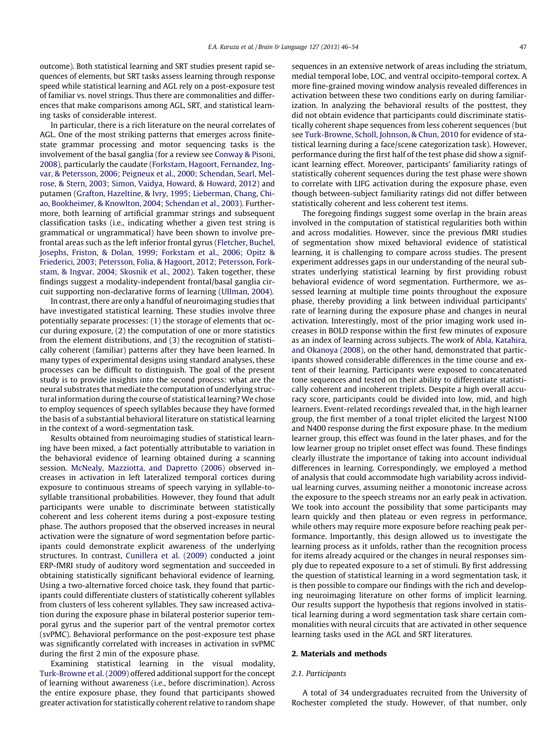outcome). Both statistical learning and SRT studies present rapid sequences of elements, but SRT tasks assess learning through response speed while statistical learning and AGL rely on a post-exposure test of familiar vs. novel strings. Thus there are commonalities and differences that make comparisons among AGL, SRT, and statistical learning tasks of considerable interest.

In particular, there is a rich literature on the neural correlates of AGL. One of the most striking patterns that emerges across finitestate grammar processing and motor sequencing tasks is the involvement of the basal ganglia (for a review see [Conway & Pisoni,](#page-7-0) [2008](#page-7-0)), particularly the caudate [\(Forkstam, Hagoort, Fernandez, Ing](#page-7-0)[var, & Petersson, 2006; Peigneux et al., 2000; Schendan, Searl, Mel](#page-7-0)[rose, & Stern, 2003; Simon, Vaidya, Howard, & Howard, 2012](#page-7-0)) and putamen ([Grafton, Hazeltine, & Ivry, 1995; Lieberman, Chang, Chi](#page-7-0)[ao, Bookheimer, & Knowlton, 2004; Schendan et al., 2003](#page-7-0)). Furthermore, both learning of artificial grammar strings and subsequent classification tasks (i.e., indicating whether a given test string is grammatical or ungrammatical) have been shown to involve prefrontal areas such as the left inferior frontal gyrus [\(Fletcher, Buchel,](#page-7-0) [Josephs, Friston, & Dolan, 1999; Forkstam et al., 2006; Opitz &](#page-7-0) [Friederici, 2003; Petersson, Folia, & Hagoort, 2012; Petersson, Fork](#page-7-0)[stam, & Ingvar, 2004; Skosnik et al., 2002](#page-7-0)). Taken together, these findings suggest a modality-independent frontal/basal ganglia circuit supporting non-declarative forms of learning ([Ullman, 2004](#page-8-0)).

In contrast, there are only a handful of neuroimaging studies that have investigated statistical learning. These studies involve three potentially separate processes: (1) the storage of elements that occur during exposure, (2) the computation of one or more statistics from the element distributions, and (3) the recognition of statistically coherent (familiar) patterns after they have been learned. In many types of experimental designs using standard analyses, these processes can be difficult to distinguish. The goal of the present study is to provide insights into the second process: what are the neural substrates that mediate the computation of underlying structural information during the course of statistical learning?We chose to employ sequences of speech syllables because they have formed the basis of a substantial behavioral literature on statistical learning in the context of a word-segmentation task.

Results obtained from neuroimaging studies of statistical learning have been mixed, a fact potentially attributable to variation in the behavioral evidence of learning obtained during a scanning session. [McNealy, Mazziotta, and Dapretto \(2006\)](#page-7-0) observed increases in activation in left lateralized temporal cortices during exposure to continuous streams of speech varying in syllable-tosyllable transitional probabilities. However, they found that adult participants were unable to discriminate between statistically coherent and less coherent items during a post-exposure testing phase. The authors proposed that the observed increases in neural activation were the signature of word segmentation before participants could demonstrate explicit awareness of the underlying structures. In contrast, [Cunillera et al. \(2009\)](#page-7-0) conducted a joint ERP-fMRI study of auditory word segmentation and succeeded in obtaining statistically significant behavioral evidence of learning. Using a two-alternative forced choice task, they found that participants could differentiate clusters of statistically coherent syllables from clusters of less coherent syllables. They saw increased activation during the exposure phase in bilateral posterior superior temporal gyrus and the superior part of the ventral premotor cortex (svPMC). Behavioral performance on the post-exposure test phase was significantly correlated with increases in activation in svPMC during the first 2 min of the exposure phase.

Examining statistical learning in the visual modality, [Turk-Browne et al. \(2009\)](#page-8-0) offered additional support for the concept of learning without awareness (i.e., before discrimination). Across the entire exposure phase, they found that participants showed greater activation for statistically coherent relative to random shape sequences in an extensive network of areas including the striatum, medial temporal lobe, LOC, and ventral occipito-temporal cortex. A more fine-grained moving window analysis revealed differences in activation between these two conditions early on during familiarization. In analyzing the behavioral results of the posttest, they did not obtain evidence that participants could discriminate statistically coherent shape sequences from less coherent sequences (but see [Turk-Browne, Scholl, Johnson, & Chun, 2010](#page-8-0) for evidence of statistical learning during a face/scene categorization task). However, performance during the first half of the test phase did show a significant learning effect. Moreover, participants' familiarity ratings of statistically coherent sequences during the test phase were shown to correlate with LIFG activation during the exposure phase, even though between-subject familiarity ratings did not differ between statistically coherent and less coherent test items.

The foregoing findings suggest some overlap in the brain areas involved in the computation of statistical regularities both within and across modalities. However, since the previous fMRI studies of segmentation show mixed behavioral evidence of statistical learning, it is challenging to compare across studies. The present experiment addresses gaps in our understanding of the neural substrates underlying statistical learning by first providing robust behavioral evidence of word segmentation. Furthermore, we assessed learning at multiple time points throughout the exposure phase, thereby providing a link between individual participants' rate of learning during the exposure phase and changes in neural activation. Interestingly, most of the prior imaging work used increases in BOLD response within the first few minutes of exposure as an index of learning across subjects. The work of [Abla, Katahira,](#page-7-0) [and Okanoya \(2008\)](#page-7-0), on the other hand, demonstrated that participants showed considerable differences in the time course and extent of their learning. Participants were exposed to concatenated tone sequences and tested on their ability to differentiate statistically coherent and incoherent triplets. Despite a high overall accuracy score, participants could be divided into low, mid, and high learners. Event-related recordings revealed that, in the high learner group, the first member of a tonal triplet elicited the largest N100 and N400 response during the first exposure phase. In the medium learner group, this effect was found in the later phases, and for the low learner group no triplet onset effect was found. These findings clearly illustrate the importance of taking into account individual differences in learning. Correspondingly, we employed a method of analysis that could accommodate high variability across individual learning curves, assuming neither a monotonic increase across the exposure to the speech streams nor an early peak in activation. We took into account the possibility that some participants may learn quickly and then plateau or even regress in performance, while others may require more exposure before reaching peak performance. Importantly, this design allowed us to investigate the learning process as it unfolds, rather than the recognition process for items already acquired or the changes in neural responses simply due to repeated exposure to a set of stimuli. By first addressing the question of statistical learning in a word segmentation task, it is then possible to compare our findings with the rich and developing neuroimaging literature on other forms of implicit learning. Our results support the hypothesis that regions involved in statistical learning during a word segmentation task share certain commonalities with neural circuits that are activated in other sequence learning tasks used in the AGL and SRT literatures.

# 2. Materials and methods

## 2.1. Participants

A total of 34 undergraduates recruited from the University of Rochester completed the study. However, of that number, only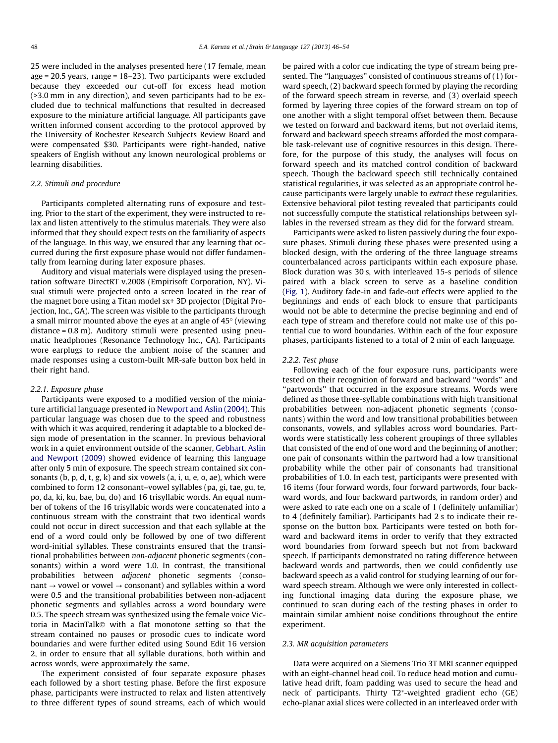<span id="page-2-0"></span>25 were included in the analyses presented here (17 female, mean age = 20.5 years, range = 18–23). Two participants were excluded because they exceeded our cut-off for excess head motion (>3.0 mm in any direction), and seven participants had to be excluded due to technical malfunctions that resulted in decreased exposure to the miniature artificial language. All participants gave written informed consent according to the protocol approved by the University of Rochester Research Subjects Review Board and were compensated \$30. Participants were right-handed, native speakers of English without any known neurological problems or learning disabilities.

# 2.2. Stimuli and procedure

Participants completed alternating runs of exposure and testing. Prior to the start of the experiment, they were instructed to relax and listen attentively to the stimulus materials. They were also informed that they should expect tests on the familiarity of aspects of the language. In this way, we ensured that any learning that occurred during the first exposure phase would not differ fundamentally from learning during later exposure phases.

Auditory and visual materials were displayed using the presentation software DirectRT v.2008 (Empirisoft Corporation, NY). Visual stimuli were projected onto a screen located in the rear of the magnet bore using a Titan model sx+ 3D projector (Digital Projection, Inc., GA). The screen was visible to the participants through a small mirror mounted above the eyes at an angle of  $45^{\circ}$  (viewing distance = 0.8 m). Auditory stimuli were presented using pneumatic headphones (Resonance Technology Inc., CA). Participants wore earplugs to reduce the ambient noise of the scanner and made responses using a custom-built MR-safe button box held in their right hand.

# 2.2.1. Exposure phase

Participants were exposed to a modified version of the miniature artificial language presented in [Newport and Aslin \(2004\)](#page-8-0). This particular language was chosen due to the speed and robustness with which it was acquired, rendering it adaptable to a blocked design mode of presentation in the scanner. In previous behavioral work in a quiet environment outside of the scanner, [Gebhart, Aslin](#page-7-0) [and Newport \(2009\)](#page-7-0) showed evidence of learning this language after only 5 min of exposure. The speech stream contained six consonants (b, p, d, t, g, k) and six vowels (a, i, u, e, o, ae), which were combined to form 12 consonant–vowel syllables (pa, gi, tae, gu, te, po, da, ki, ku, bae, bu, do) and 16 trisyllabic words. An equal number of tokens of the 16 trisyllabic words were concatenated into a continuous stream with the constraint that two identical words could not occur in direct succession and that each syllable at the end of a word could only be followed by one of two different word-initial syllables. These constraints ensured that the transitional probabilities between non-adjacent phonetic segments (consonants) within a word were 1.0. In contrast, the transitional probabilities between adjacent phonetic segments (consonant  $\rightarrow$  vowel or vowel  $\rightarrow$  consonant) and syllables within a word were 0.5 and the transitional probabilities between non-adjacent phonetic segments and syllables across a word boundary were 0.5. The speech stream was synthesized using the female voice Victoria in MacinTalk© with a flat monotone setting so that the stream contained no pauses or prosodic cues to indicate word boundaries and were further edited using Sound Edit 16 version 2, in order to ensure that all syllable durations, both within and across words, were approximately the same.

The experiment consisted of four separate exposure phases each followed by a short testing phase. Before the first exposure phase, participants were instructed to relax and listen attentively to three different types of sound streams, each of which would be paired with a color cue indicating the type of stream being presented. The ''languages'' consisted of continuous streams of (1) forward speech, (2) backward speech formed by playing the recording of the forward speech stream in reverse, and (3) overlaid speech formed by layering three copies of the forward stream on top of one another with a slight temporal offset between them. Because we tested on forward and backward items, but not overlaid items, forward and backward speech streams afforded the most comparable task-relevant use of cognitive resources in this design. Therefore, for the purpose of this study, the analyses will focus on forward speech and its matched control condition of backward speech. Though the backward speech still technically contained statistical regularities, it was selected as an appropriate control because participants were largely unable to extract these regularities. Extensive behavioral pilot testing revealed that participants could not successfully compute the statistical relationships between syllables in the reversed stream as they did for the forward stream.

Participants were asked to listen passively during the four exposure phases. Stimuli during these phases were presented using a blocked design, with the ordering of the three language streams counterbalanced across participants within each exposure phase. Block duration was 30 s, with interleaved 15-s periods of silence paired with a black screen to serve as a baseline condition ([Fig. 1](#page-3-0)). Auditory fade-in and fade-out effects were applied to the beginnings and ends of each block to ensure that participants would not be able to determine the precise beginning and end of each type of stream and therefore could not make use of this potential cue to word boundaries. Within each of the four exposure phases, participants listened to a total of 2 min of each language.

#### 2.2.2. Test phase

Following each of the four exposure runs, participants were tested on their recognition of forward and backward ''words'' and "partwords" that occurred in the exposure streams. Words were defined as those three-syllable combinations with high transitional probabilities between non-adjacent phonetic segments (consonants) within the word and low transitional probabilities between consonants, vowels, and syllables across word boundaries. Partwords were statistically less coherent groupings of three syllables that consisted of the end of one word and the beginning of another; one pair of consonants within the partword had a low transitional probability while the other pair of consonants had transitional probabilities of 1.0. In each test, participants were presented with 16 items (four forward words, four forward partwords, four backward words, and four backward partwords, in random order) and were asked to rate each one on a scale of 1 (definitely unfamiliar) to 4 (definitely familiar). Participants had 2 s to indicate their response on the button box. Participants were tested on both forward and backward items in order to verify that they extracted word boundaries from forward speech but not from backward speech. If participants demonstrated no rating difference between backward words and partwords, then we could confidently use backward speech as a valid control for studying learning of our forward speech stream. Although we were only interested in collecting functional imaging data during the exposure phase, we continued to scan during each of the testing phases in order to maintain similar ambient noise conditions throughout the entire experiment.

# 2.3. MR acquisition parameters

Data were acquired on a Siemens Trio 3T MRI scanner equipped with an eight-channel head coil. To reduce head motion and cumulative head drift, foam padding was used to secure the head and neck of participants. Thirty T2\*-weighted gradient echo (GE) echo-planar axial slices were collected in an interleaved order with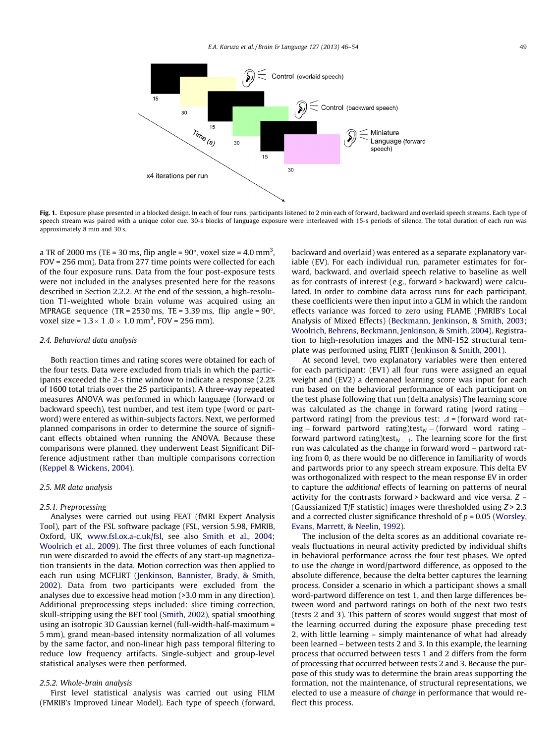<span id="page-3-0"></span>

Fig. 1. Exposure phase presented in a blocked design. In each of four runs, participants listened to 2 min each of forward, backward and overlaid speech streams. Each type of speech stream was paired with a unique color cue. 30-s blocks of language exposure were interleaved with 15-s periods of silence. The total duration of each run was approximately 8 min and 30 s.

a TR of 2000 ms (TE = 30 ms, flip angle =  $90^{\circ}$ , voxel size = 4.0 mm<sup>3</sup>, FOV = 256 mm). Data from 277 time points were collected for each of the four exposure runs. Data from the four post-exposure tests were not included in the analyses presented here for the reasons described in Section [2.2.2.](#page-2-0) At the end of the session, a high-resolution T1-weighted whole brain volume was acquired using an MPRAGE sequence (TR = 2530 ms, TE = 3.39 ms, flip angle =  $90^{\circ}$ , voxel size =  $1.3 \times 1.0 \times 1.0$  mm<sup>3</sup>, FOV = 256 mm).

# 2.4. Behavioral data analysis

Both reaction times and rating scores were obtained for each of the four tests. Data were excluded from trials in which the participants exceeded the 2-s time window to indicate a response (2.2% of 1600 total trials over the 25 participants). A three-way repeated measures ANOVA was performed in which language (forward or backward speech), test number, and test item type (word or partword) were entered as within-subjects factors. Next, we performed planned comparisons in order to determine the source of significant effects obtained when running the ANOVA. Because these comparisons were planned, they underwent Least Significant Difference adjustment rather than multiple comparisons correction ([Keppel & Wickens, 2004](#page-7-0)).

# 2.5. MR data analysis

## 2.5.1. Preprocessing

Analyses were carried out using FEAT (fMRI Expert Analysis Tool), part of the FSL software package (FSL, version 5.98, FMRIB, Oxford, UK, [www.fsl.ox.a-c.uk/fsl,](http://www.fsl.ox.a-c.uk/fsl) see also [Smith et al., 2004;](#page-8-0) [Woolrich et al., 2009](#page-8-0)). The first three volumes of each functional run were discarded to avoid the effects of any start-up magnetization transients in the data. Motion correction was then applied to each run using MCFLIRT ([Jenkinson, Bannister, Brady, & Smith,](#page-7-0) [2002](#page-7-0)). Data from two participants were excluded from the analyses due to excessive head motion (>3.0 mm in any direction). Additional preprocessing steps included: slice timing correction, skull-stripping using the BET tool ([Smith, 2002](#page-8-0)), spatial smoothing using an isotropic 3D Gaussian kernel (full-width-half-maximum = 5 mm), grand mean-based intensity normalization of all volumes by the same factor, and non-linear high pass temporal filtering to reduce low frequency artifacts. Single-subject and group-level statistical analyses were then performed.

# 2.5.2. Whole-brain analysis

First level statistical analysis was carried out using FILM (FMRIB's Improved Linear Model). Each type of speech (forward, backward and overlaid) was entered as a separate explanatory variable (EV). For each individual run, parameter estimates for forward, backward, and overlaid speech relative to baseline as well as for contrasts of interest (e.g., forward > backward) were calculated. In order to combine data across runs for each participant, these coefficients were then input into a GLM in which the random effects variance was forced to zero using FLAME (FMRIB's Local Analysis of Mixed Effects) ([Beckmann, Jenkinson, & Smith, 2003;](#page-7-0) [Woolrich, Behrens, Beckmann, Jenkinson, & Smith, 2004\)](#page-7-0). Registration to high-resolution images and the MNI-152 structural template was performed using FLIRT [\(Jenkinson & Smith, 2001\)](#page-7-0).

At second level, two explanatory variables were then entered for each participant: (EV1) all four runs were assigned an equal weight and (EV2) a demeaned learning score was input for each run based on the behavioral performance of each participant on the test phase following that run (delta analysis) The learning score was calculated as the change in forward rating  $[-\frac{1}{2}$  [word rating  $[-\frac{1}{2}$ ] partword rating] from the previous test:  $\Delta$  = (forward word rating – forward partword rating)test<sub>N</sub> – (forward word rating – forward partword rating)test<sub>N = 1</sub>. The learning score for the first run was calculated as the change in forward word – partword rating from 0, as there would be no difference in familiarity of words and partwords prior to any speech stream exposure. This delta EV was orthogonalized with respect to the mean response EV in order to capture the additional effects of learning on patterns of neural activity for the contrasts forward > backward and vice versa. Z – (Gaussianized T/F statistic) images were thresholded using  $Z > 2.3$ and a corrected cluster significance threshold of  $p = 0.05$  [\(Worsley,](#page-8-0) [Evans, Marrett, & Neelin, 1992\)](#page-8-0).

The inclusion of the delta scores as an additional covariate reveals fluctuations in neural activity predicted by individual shifts in behavioral performance across the four test phases. We opted to use the change in word/partword difference, as opposed to the absolute difference, because the delta better captures the learning process. Consider a scenario in which a participant shows a small word-partword difference on test 1, and then large differences between word and partword ratings on both of the next two tests (tests 2 and 3). This pattern of scores would suggest that most of the learning occurred during the exposure phase preceding test 2, with little learning – simply maintenance of what had already been learned – between tests 2 and 3. In this example, the learning process that occurred between tests 1 and 2 differs from the form of processing that occurred between tests 2 and 3. Because the purpose of this study was to determine the brain areas supporting the formation, not the maintenance, of structural representations, we elected to use a measure of change in performance that would reflect this process.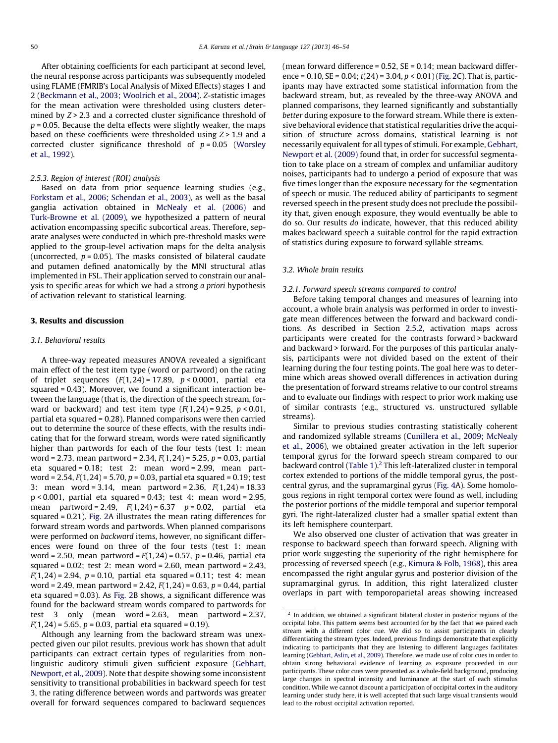<span id="page-4-0"></span>After obtaining coefficients for each participant at second level, the neural response across participants was subsequently modeled using FLAME (FMRIB's Local Analysis of Mixed Effects) stages 1 and 2 ([Beckmann et al., 2003; Woolrich et al., 2004](#page-7-0)). Z-statistic images for the mean activation were thresholded using clusters determined by  $Z > 2.3$  and a corrected cluster significance threshold of  $p = 0.05$ . Because the delta effects were slightly weaker, the maps based on these coefficients were thresholded using  $Z > 1.9$  and a corrected cluster significance threshold of  $p = 0.05$  [\(Worsley](#page-8-0) [et al., 1992\)](#page-8-0).

# 2.5.3. Region of interest (ROI) analysis

Based on data from prior sequence learning studies (e.g., [Forkstam et al., 2006; Schendan et al., 2003\)](#page-7-0), as well as the basal ganglia activation obtained in [McNealy et al. \(2006\)](#page-7-0) and [Turk-Browne et al. \(2009\)](#page-8-0), we hypothesized a pattern of neural activation encompassing specific subcortical areas. Therefore, separate analyses were conducted in which pre-threshold masks were applied to the group-level activation maps for the delta analysis (uncorrected,  $p = 0.05$ ). The masks consisted of bilateral caudate and putamen defined anatomically by the MNI structural atlas implemented in FSL. Their application served to constrain our analysis to specific areas for which we had a strong a priori hypothesis of activation relevant to statistical learning.

# 3. Results and discussion

## 3.1. Behavioral results

A three-way repeated measures ANOVA revealed a significant main effect of the test item type (word or partword) on the rating of triplet sequences  $(F(1,24) = 17.89, p < 0.0001,$  partial eta squared = 0.43). Moreover, we found a significant interaction between the language (that is, the direction of the speech stream, forward or backward) and test item type  $(F(1,24) = 9.25, p < 0.01,$ partial eta squared = 0.28). Planned comparisons were then carried out to determine the source of these effects, with the results indicating that for the forward stream, words were rated significantly higher than partwords for each of the four tests (test 1: mean word = 2.73, mean partword = 2.34,  $F(1,24)$  = 5.25,  $p$  = 0.03, partial eta squared = 0.18; test 2: mean word = 2.99, mean partword = 2.54,  $F(1,24)$  = 5.70,  $p = 0.03$ , partial eta squared = 0.19; test 3: mean word = 3.14, mean partword = 2.36, F(1,24) = 18.33 p < 0.001, partial eta squared = 0.43; test 4: mean word = 2.95, mean partword = 2.49,  $F(1,24) = 6.37$   $p = 0.02$ , partial eta squared = 0.21). [Fig. 2A](#page-5-0) illustrates the mean rating differences for forward stream words and partwords. When planned comparisons were performed on backward items, however, no significant differences were found on three of the four tests (test 1: mean word = 2.50, mean partword =  $F(1,24)$  = 0.57, p = 0.46, partial eta squared =  $0.02$ ; test 2: mean word =  $2.60$ , mean partword =  $2.43$ ,  $F(1,24) = 2.94$ ,  $p = 0.10$ , partial eta squared = 0.11; test 4: mean word = 2.49, mean partword = 2.42,  $F(1,24)$  = 0.63,  $p$  = 0.44, partial eta squared = 0.03). As [Fig. 2](#page-5-0)B shows, a significant difference was found for the backward stream words compared to partwords for test 3 only (mean word = 2.63, mean partword = 2.37,  $F(1,24) = 5.65$ ,  $p = 0.03$ , partial eta squared = 0.19).

Although any learning from the backward stream was unexpected given our pilot results, previous work has shown that adult participants can extract certain types of regularities from nonlinguistic auditory stimuli given sufficient exposure [\(Gebhart,](#page-7-0) [Newport, et al., 2009\)](#page-7-0). Note that despite showing some inconsistent sensitivity to transitional probabilities in backward speech for test 3, the rating difference between words and partwords was greater overall for forward sequences compared to backward sequences (mean forward difference =  $0.52$ , SE =  $0.14$ ; mean backward difference =  $0.10$ . SE =  $0.04$ :  $t(24)$  =  $3.04$ .  $p < 0.01$ ) ([Fig. 2C](#page-5-0)). That is, participants may have extracted some statistical information from the backward stream, but, as revealed by the three-way ANOVA and planned comparisons, they learned significantly and substantially better during exposure to the forward stream. While there is extensive behavioral evidence that statistical regularities drive the acquisition of structure across domains, statistical learning is not necessarily equivalent for all types of stimuli. For example, [Gebhart,](#page-7-0) [Newport et al. \(2009\)](#page-7-0) found that, in order for successful segmentation to take place on a stream of complex and unfamiliar auditory noises, participants had to undergo a period of exposure that was five times longer than the exposure necessary for the segmentation of speech or music. The reduced ability of participants to segment reversed speech in the present study does not preclude the possibility that, given enough exposure, they would eventually be able to do so. Our results do indicate, however, that this reduced ability makes backward speech a suitable control for the rapid extraction of statistics during exposure to forward syllable streams.

## 3.2. Whole brain results

# 3.2.1. Forward speech streams compared to control

Before taking temporal changes and measures of learning into account, a whole brain analysis was performed in order to investigate mean differences between the forward and backward conditions. As described in Section [2.5.2](#page-3-0), activation maps across participants were created for the contrasts forward > backward and backward > forward. For the purposes of this particular analysis, participants were not divided based on the extent of their learning during the four testing points. The goal here was to determine which areas showed overall differences in activation during the presentation of forward streams relative to our control streams and to evaluate our findings with respect to prior work making use of similar contrasts (e.g., structured vs. unstructured syllable streams).

Similar to previous studies contrasting statistically coherent and randomized syllable streams [\(Cunillera et al., 2009; McNealy](#page-7-0) [et al., 2006\)](#page-7-0), we obtained greater activation in the left superior temporal gyrus for the forward speech stream compared to our backward control [\(Table 1\)](#page-5-0).<sup>2</sup> This left-lateralized cluster in temporal cortex extended to portions of the middle temporal gyrus, the postcentral gyrus, and the supramarginal gyrus ([Fig. 4](#page-6-0)A). Some homologous regions in right temporal cortex were found as well, including the posterior portions of the middle temporal and superior temporal gyri. The right-lateralized cluster had a smaller spatial extent than its left hemisphere counterpart.

We also observed one cluster of activation that was greater in response to backward speech than forward speech. Aligning with prior work suggesting the superiority of the right hemisphere for processing of reversed speech (e.g., [Kimura & Folb, 1968](#page-7-0)), this area encompassed the right angular gyrus and posterior division of the supramarginal gyrus. In addition, this right lateralized cluster overlaps in part with temporoparietal areas showing increased

<sup>&</sup>lt;sup>2</sup> In addition, we obtained a significant bilateral cluster in posterior regions of the occipital lobe. This pattern seems best accounted for by the fact that we paired each stream with a different color cue. We did so to assist participants in clearly differentiating the stream types. Indeed, previous findings demonstrate that explicitly indicating to participants that they are listening to different languages facilitates learning ([Gebhart, Aslin, et al., 2009\)](#page-7-0). Therefore, we made use of color cues in order to obtain strong behavioral evidence of learning as exposure proceeded in our participants. These color cues were presented as a whole-field background, producing large changes in spectral intensity and luminance at the start of each stimulus condition. While we cannot discount a participation of occipital cortex in the auditory learning under study here, it is well accepted that such large visual transients would lead to the robust occipital activation reported.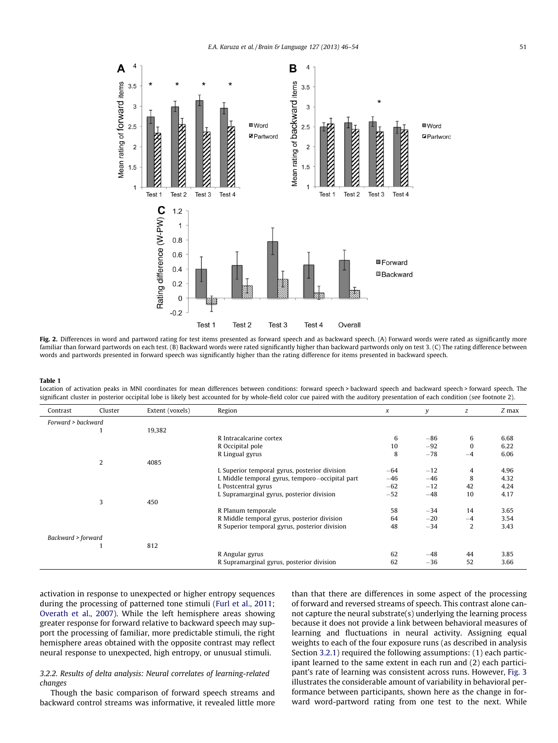<span id="page-5-0"></span>

Fig. 2. Differences in word and partword rating for test items presented as forward speech and as backward speech. (A) Forward words were rated as significantly more familiar than forward partwords on each test. (B) Backward words were rated significantly higher than backward partwords only on test 3. (C) The rating difference between words and partwords presented in forward speech was significantly higher than the rating difference for items presented in backward speech.

#### Table 1

Location of activation peaks in MNI coordinates for mean differences between conditions: forward speech > backward speech and backward speech > forward speech > forward speech > forward speech + forward speech. The significant cluster in posterior occipital lobe is likely best accounted for by whole-field color cue paired with the auditory presentation of each condition (see footnote 2).

| Contrast           | Cluster | Extent (voxels) | Region                                          | x     | y     | z        | $Z$ max |
|--------------------|---------|-----------------|-------------------------------------------------|-------|-------|----------|---------|
| Forward > backward |         |                 |                                                 |       |       |          |         |
|                    |         | 19,382          |                                                 |       |       |          |         |
|                    |         |                 | R Intracalcarine cortex                         | 6     | $-86$ | 6        | 6.68    |
|                    |         |                 | R Occipital pole                                | 10    | $-92$ | $\Omega$ | 6.22    |
|                    |         |                 | R Lingual gyrus                                 | 8     | $-78$ | $-4$     | 6.06    |
|                    | 2       | 4085            |                                                 |       |       |          |         |
|                    |         |                 | L Superior temporal gyrus, posterior division   | $-64$ | $-12$ | 4        | 4.96    |
|                    |         |                 | L Middle temporal gyrus, temporo-occipital part | $-46$ | $-46$ | 8        | 4.32    |
|                    |         |                 | L Postcentral gyrus                             | $-62$ | $-12$ | 42       | 4.24    |
|                    |         |                 | L Supramarginal gyrus, posterior division       | $-52$ | $-48$ | 10       | 4.17    |
|                    | 3       | 450             |                                                 |       |       |          |         |
|                    |         |                 | R Planum temporale                              | 58    | $-34$ | 14       | 3.65    |
|                    |         |                 | R Middle temporal gyrus, posterior division     | 64    | $-20$ | $-4$     | 3.54    |
|                    |         |                 | R Superior temporal gyrus, posterior division   | 48    | $-34$ | 2        | 3.43    |
| Backward > forward |         |                 |                                                 |       |       |          |         |
|                    |         | 812             |                                                 |       |       |          |         |
|                    |         |                 | R Angular gyrus                                 | 62    | $-48$ | 44       | 3.85    |
|                    |         |                 | R Supramarginal gyrus, posterior division       | 62    | $-36$ | 52       | 3.66    |
|                    |         |                 |                                                 |       |       |          |         |

activation in response to unexpected or higher entropy sequences during the processing of patterned tone stimuli [\(Furl et al., 2011;](#page-7-0) [Overath et al., 2007](#page-8-0)). While the left hemisphere areas showing greater response for forward relative to backward speech may support the processing of familiar, more predictable stimuli, the right hemisphere areas obtained with the opposite contrast may reflect neural response to unexpected, high entropy, or unusual stimuli.

3.2.2. Results of delta analysis: Neural correlates of learning-related changes

Though the basic comparison of forward speech streams and backward control streams was informative, it revealed little more than that there are differences in some aspect of the processing of forward and reversed streams of speech. This contrast alone cannot capture the neural substrate(s) underlying the learning process because it does not provide a link between behavioral measures of learning and fluctuations in neural activity. Assigning equal weights to each of the four exposure runs (as described in analysis Section [3.2.1](#page-4-0)) required the following assumptions: (1) each participant learned to the same extent in each run and (2) each participant's rate of learning was consistent across runs. However, [Fig. 3](#page-6-0) illustrates the considerable amount of variability in behavioral performance between participants, shown here as the change in forward word-partword rating from one test to the next. While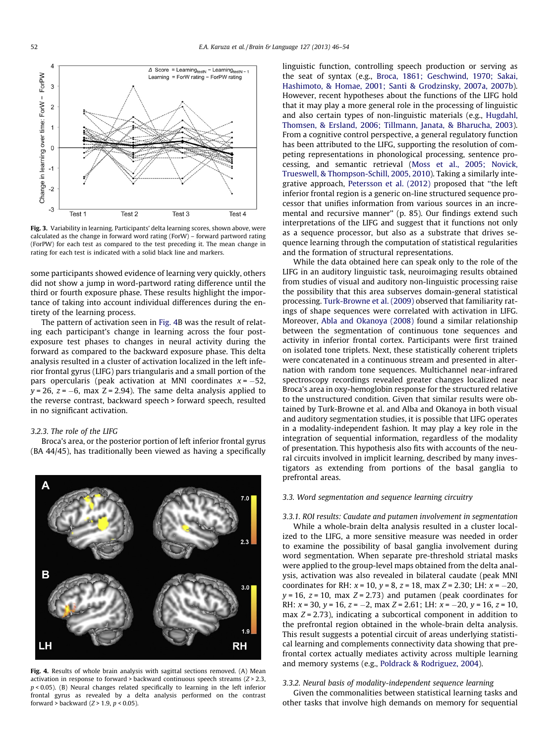<span id="page-6-0"></span>

Fig. 3. Variability in learning. Participants' delta learning scores, shown above, were calculated as the change in forward word rating (ForW) – forward partword rating (ForPW) for each test as compared to the test preceding it. The mean change in rating for each test is indicated with a solid black line and markers.

some participants showed evidence of learning very quickly, others did not show a jump in word-partword rating difference until the third or fourth exposure phase. These results highlight the importance of taking into account individual differences during the entirety of the learning process.

The pattern of activation seen in Fig. 4B was the result of relating each participant's change in learning across the four postexposure test phases to changes in neural activity during the forward as compared to the backward exposure phase. This delta analysis resulted in a cluster of activation localized in the left inferior frontal gyrus (LIFG) pars triangularis and a small portion of the pars opercularis (peak activation at MNI coordinates  $x = -52$ ,  $y = 26$ ,  $z = -6$ , max  $Z = 2.94$ ). The same delta analysis applied to the reverse contrast, backward speech > forward speech, resulted in no significant activation.

# 3.2.3. The role of the LIFG

Broca's area, or the posterior portion of left inferior frontal gyrus (BA 44/45), has traditionally been viewed as having a specifically



Fig. 4. Results of whole brain analysis with sagittal sections removed. (A) Mean activation in response to forward  $>$  backward continuous speech streams ( $Z \ge 2.3$ ,  $p < 0.05$ ). (B) Neural changes related specifically to learning in the left inferior frontal gyrus as revealed by a delta analysis performed on the contrast forward > backward  $(Z > 1.9, p < 0.05)$ .

linguistic function, controlling speech production or serving as the seat of syntax (e.g., [Broca, 1861; Geschwind, 1970; Sakai,](#page-7-0) [Hashimoto, & Homae, 2001; Santi & Grodzinsky, 2007a, 2007b\)](#page-7-0). However, recent hypotheses about the functions of the LIFG hold that it may play a more general role in the processing of linguistic and also certain types of non-linguistic materials (e.g., [Hugdahl,](#page-7-0) [Thomsen, & Ersland, 2006; Tillmann, Janata, & Bharucha, 2003\)](#page-7-0). From a cognitive control perspective, a general regulatory function has been attributed to the LIFG, supporting the resolution of competing representations in phonological processing, sentence processing, and semantic retrieval ([Moss et al., 2005; Novick,](#page-8-0) [Trueswell, & Thompson-Schill, 2005, 2010](#page-8-0)). Taking a similarly integrative approach, [Petersson et al. \(2012\)](#page-8-0) proposed that ''the left inferior frontal region is a generic on-line structured sequence processor that unifies information from various sources in an incremental and recursive manner'' (p. 85). Our findings extend such interpretations of the LIFG and suggest that it functions not only as a sequence processor, but also as a substrate that drives sequence learning through the computation of statistical regularities and the formation of structural representations.

While the data obtained here can speak only to the role of the LIFG in an auditory linguistic task, neuroimaging results obtained from studies of visual and auditory non-linguistic processing raise the possibility that this area subserves domain-general statistical processing. [Turk-Browne et al. \(2009\)](#page-8-0) observed that familiarity ratings of shape sequences were correlated with activation in LIFG. Moreover, [Abla and Okanoya \(2008\)](#page-7-0) found a similar relationship between the segmentation of continuous tone sequences and activity in inferior frontal cortex. Participants were first trained on isolated tone triplets. Next, these statistically coherent triplets were concatenated in a continuous stream and presented in alternation with random tone sequences. Multichannel near-infrared spectroscopy recordings revealed greater changes localized near Broca's area in oxy-hemoglobin response for the structured relative to the unstructured condition. Given that similar results were obtained by Turk-Browne et al. and Alba and Okanoya in both visual and auditory segmentation studies, it is possible that LIFG operates in a modality-independent fashion. It may play a key role in the integration of sequential information, regardless of the modality of presentation. This hypothesis also fits with accounts of the neural circuits involved in implicit learning, described by many investigators as extending from portions of the basal ganglia to prefrontal areas.

# 3.3. Word segmentation and sequence learning circuitry

3.3.1. ROI results: Caudate and putamen involvement in segmentation While a whole-brain delta analysis resulted in a cluster localized to the LIFG, a more sensitive measure was needed in order to examine the possibility of basal ganglia involvement during word segmentation. When separate pre-threshold striatal masks were applied to the group-level maps obtained from the delta analysis, activation was also revealed in bilateral caudate (peak MNI coordinates for RH:  $x = 10$ ,  $y = 8$ ,  $z = 18$ , max  $Z = 2.30$ ; LH:  $x = -20$ ,  $y = 16$ ,  $z = 10$ , max  $Z = 2.73$ ) and putamen (peak coordinates for RH:  $x = 30$ ,  $y = 16$ ,  $z = -2$ , max  $Z = 2.61$ ; LH:  $x = -20$ ,  $y = 16$ ,  $z = 10$ , max  $Z = 2.73$ ), indicating a subcortical component in addition to the prefrontal region obtained in the whole-brain delta analysis. This result suggests a potential circuit of areas underlying statistical learning and complements connectivity data showing that prefrontal cortex actually mediates activity across multiple learning and memory systems (e.g., [Poldrack & Rodriguez, 2004\)](#page-8-0).

# 3.3.2. Neural basis of modality-independent sequence learning

Given the commonalities between statistical learning tasks and other tasks that involve high demands on memory for sequential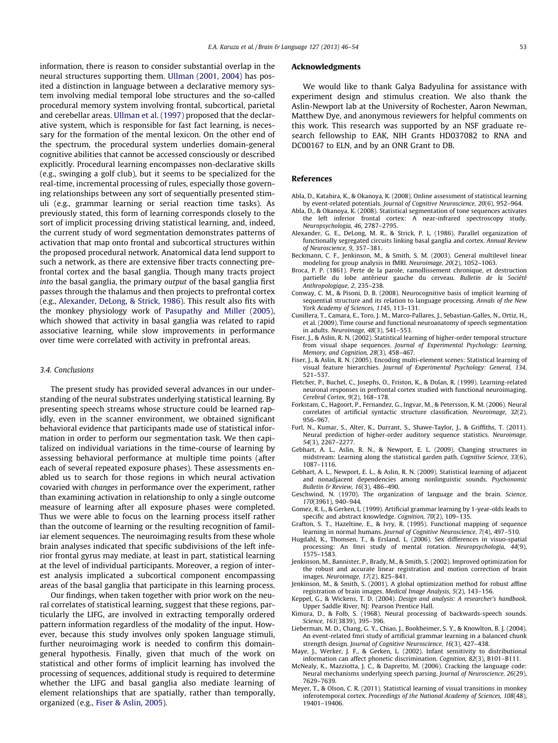<span id="page-7-0"></span>information, there is reason to consider substantial overlap in the neural structures supporting them. [Ullman \(2001, 2004\)](#page-8-0) has posited a distinction in language between a declarative memory system involving medial temporal lobe structures and the so-called procedural memory system involving frontal, subcortical, parietal and cerebellar areas. [Ullman et al. \(1997\)](#page-8-0) proposed that the declarative system, which is responsible for fast fact learning, is necessary for the formation of the mental lexicon. On the other end of the spectrum, the procedural system underlies domain-general cognitive abilities that cannot be accessed consciously or described explicitly. Procedural learning encompasses non-declarative skills (e.g., swinging a golf club), but it seems to be specialized for the real-time, incremental processing of rules, especially those governing relationships between any sort of sequentially presented stimuli (e.g., grammar learning or serial reaction time tasks). As previously stated, this form of learning corresponds closely to the sort of implicit processing driving statistical learning, and, indeed, the current study of word segmentation demonstrates patterns of activation that map onto frontal and subcortical structures within the proposed procedural network. Anatomical data lend support to such a network, as there are extensive fiber tracts connecting prefrontal cortex and the basal ganglia. Though many tracts project into the basal ganglia, the primary output of the basal ganglia first passes through the thalamus and then projects to prefrontal cortex (e.g., Alexander, DeLong, & Strick, 1986). This result also fits with the monkey physiology work of [Pasupathy and Miller \(2005\),](#page-8-0) which showed that activity in basal ganglia was related to rapid associative learning, while slow improvements in performance over time were correlated with activity in prefrontal areas.

# 3.4. Conclusions

The present study has provided several advances in our understanding of the neural substrates underlying statistical learning. By presenting speech streams whose structure could be learned rapidly, even in the scanner environment, we obtained significant behavioral evidence that participants made use of statistical information in order to perform our segmentation task. We then capitalized on individual variations in the time-course of learning by assessing behavioral performance at multiple time points (after each of several repeated exposure phases). These assessments enabled us to search for those regions in which neural activation covaried with changes in performance over the experiment, rather than examining activation in relationship to only a single outcome measure of learning after all exposure phases were completed. Thus we were able to focus on the learning process itself rather than the outcome of learning or the resulting recognition of familiar element sequences. The neuroimaging results from these whole brain analyses indicated that specific subdivisions of the left inferior frontal gyrus may mediate, at least in part, statistical learning at the level of individual participants. Moreover, a region of interest analysis implicated a subcortical component encompassing areas of the basal ganglia that participate in this learning process.

Our findings, when taken together with prior work on the neural correlates of statistical learning, suggest that these regions, particularly the LIFG, are involved in extracting temporally ordered pattern information regardless of the modality of the input. However, because this study involves only spoken language stimuli, further neuroimaging work is needed to confirm this domaingeneral hypothesis. Finally, given that much of the work on statistical and other forms of implicit learning has involved the processing of sequences, additional study is required to determine whether the LIFG and basal ganglia also mediate learning of element relationships that are spatially, rather than temporally, organized (e.g., Fiser & Aslin, 2005).

### Acknowledgments

We would like to thank Galya Badyulina for assistance with experiment design and stimulus creation. We also thank the Aslin-Newport lab at the University of Rochester, Aaron Newman, Matthew Dye, and anonymous reviewers for helpful comments on this work. This research was supported by an NSF graduate research fellowship to EAK, NIH Grants HD037082 to RNA and DC00167 to ELN, and by an ONR Grant to DB.

# References

- Abla, D., Katahira, K., & Okanoya, K. (2008). Online assessment of statistical learning by event-related potentials. Journal of Cognitive Neuroscience, 20(6), 952–964.
- Abla, D., & Okanoya, K. (2008). Statistical segmentation of tone sequences activates the left inferior frontal cortex: A near-infrared spectroscopy study. Neuropsychologia, 46, 2787–2795.
- Alexander, G. E., DeLong, M. R., & Strick, P. L. (1986). Parallel organization of functionally segregated circuits linking basal ganglia and cortex. Annual Review of Neuroscience, 9, 357–381.
- Beckmann, C. F., Jenkinson, M., & Smith, S. M. (2003). General multilevel linear modeling for group analysis in fMRI. Neuroimage, 20(2), 1052–1063.
- Broca, P. P. (1861). Perte de la parole, ramollissement chronique, et destruction partielle du lobe antérieur gauche du cerveau. Bulletin de la Société Anthropologique, 2, 235–238.
- Conway, C. M., & Pisoni, D. B. (2008). Neurocognitive basis of implicit learning of sequential structure and its relation to language processing. Annals of the New York Academy of Sciences, 1145, 113–131.
- Cunillera, T., Camara, E., Toro, J. M., Marco-Pallares, J., Sebastian-Galles, N., Ortiz, H., et al. (2009). Time course and functional neuroanatomy of speech segmentation in adults. Neuroimage, 48(3), 541–553.
- Fiser, J., & Aslin, R. N. (2002). Statistical learning of higher-order temporal structure from visual shape sequences. Journal of Experimental Psychology: Learning, Memory, and Cognition, 28(3), 458–467.
- Fiser, J., & Aslin, R. N. (2005). Encoding multi-element scenes: Statistical learning of visual feature hierarchies. Journal of Experimental Psychology: General, 134, 521–537.
- Fletcher, P., Buchel, C., Josephs, O., Friston, K., & Dolan, R. (1999). Learning-related neuronal responses in prefrontal cortex studied with functional neuroimaging. Cerebral Cortex, 9(2), 168–178.
- Forkstam, C., Hagoort, P., Fernandez, G., Ingvar, M., & Petersson, K. M. (2006). Neural correlates of artificial syntactic structure classification. Neuroimage, 32(2), 956–967.
- Furl, N., Kumar, S., Alter, K., Durrant, S., Shawe-Taylor, J., & Griffiths, T. (2011). Neural prediction of higher-order auditory sequence statistics. Neuroimage, 54(3), 2267–2277.
- Gebhart, A. L., Aslin, R. N., & Newport, E. L. (2009). Changing structures in midstream: Learning along the statistical garden path. Cognitive Science, 33(6), 1087–1116.
- Gebhart, A. L., Newport, E. L., & Aslin, R. N. (2009). Statistical learning of adjacent and nonadjacent dependencies among nonlinguistic sounds. Psychonomic Bulletin & Review, 16(3), 486–490.
- Geschwind, N. (1970). The organization of language and the brain. Science, 170(3961), 940–944.
- Gomez, R. L., & Gerken, L. (1999). Artificial grammar learning by 1-year-olds leads to specific and abstract knowledge. Cognition, 70(2), 109–135.
- Grafton, S. T., Hazeltine, E., & Ivry, R. (1995). Functional mapping of sequence learning in normal humans. Journal of Cognitive Neuroscience, 7(4), 497–510.
- Hugdahl, K., Thomsen, T., & Ersland, L. (2006). Sex differences in visuo-spatial processing: An fmri study of mental rotation. Neuropsychologia, 44(9), 1575–1583.
- Jenkinson, M., Bannister, P., Brady, M., & Smith, S. (2002). Improved optimization for the robust and accurate linear registration and motion correction of brain images. Neuroimage, 17(2), 825–841.
- Jenkinson, M., & Smith, S. (2001). A global optimization method for robust affine registration of brain images. Medical Image Analysis, 5(2), 143–156.
- Keppel, G., & Wickens, T. D. (2004). Design and analysis: A researcher's handbook. Upper Saddle River, NJ: Pearson Prentice Hall.
- Kimura, D., & Folb, S. (1968). Neural processing of backwards-speech sounds. Science, 161(3839), 395–396.
- Lieberman, M. D., Chang, G. Y., Chiao, J., Bookheimer, S. Y., & Knowlton, B. J. (2004). An event-related fmri study of artificial grammar learning in a balanced chunk strength design. Journal of Cognitive Neuroscience, 16(3), 427–438.
- Maye, J., Werker, J. F., & Gerken, L. (2002). Infant sensitivity to distributional information can affect phonetic discrimination. Cognition, 82(3), B101–B111.
- McNealy, K., Mazziotta, J. C., & Dapretto, M. (2006). Cracking the language code: Neural mechanisms underlying speech parsing. Journal of Neuroscience, 26(29), 7629–7639.
- Meyer, T., & Olson, C. R. (2011). Statistical learning of visual transitions in monkey inferotemporal cortex. Proceedings of the National Academy of Sciences, 108(48), 19401–19406.